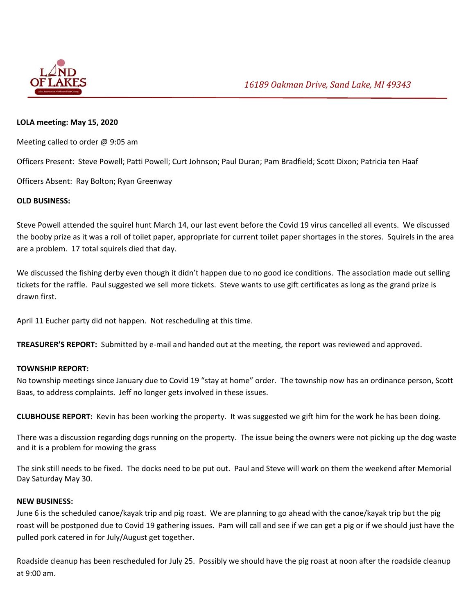

## **LOLA meeting: May 15, 2020**

Meeting called to order @ 9:05 am

Officers Present: Steve Powell; Patti Powell; Curt Johnson; Paul Duran; Pam Bradfield; Scott Dixon; Patricia ten Haaf

Officers Absent: Ray Bolton; Ryan Greenway

## **OLD BUSINESS:**

Steve Powell attended the squirel hunt March 14, our last event before the Covid 19 virus cancelled all events. We discussed the booby prize as it was a roll of toilet paper, appropriate for current toilet paper shortages in the stores. Squirels in the area are a problem. 17 total squirels died that day.

We discussed the fishing derby even though it didn't happen due to no good ice conditions. The association made out selling tickets for the raffle. Paul suggested we sell more tickets. Steve wants to use gift certificates as long as the grand prize is drawn first.

April 11 Eucher party did not happen. Not rescheduling at this time.

**TREASURER'S REPORT:** Submitted by e‐mail and handed out at the meeting, the report was reviewed and approved.

## **TOWNSHIP REPORT:**

No township meetings since January due to Covid 19 "stay at home" order. The township now has an ordinance person, Scott Baas, to address complaints. Jeff no longer gets involved in these issues.

**CLUBHOUSE REPORT:** Kevin has been working the property. It was suggested we gift him for the work he has been doing.

There was a discussion regarding dogs running on the property. The issue being the owners were not picking up the dog waste and it is a problem for mowing the grass

The sink still needs to be fixed. The docks need to be put out. Paul and Steve will work on them the weekend after Memorial Day Saturday May 30.

## **NEW BUSINESS:**

June 6 is the scheduled canoe/kayak trip and pig roast. We are planning to go ahead with the canoe/kayak trip but the pig roast will be postponed due to Covid 19 gathering issues. Pam will call and see if we can get a pig or if we should just have the pulled pork catered in for July/August get together.

Roadside cleanup has been rescheduled for July 25. Possibly we should have the pig roast at noon after the roadside cleanup at 9:00 am.